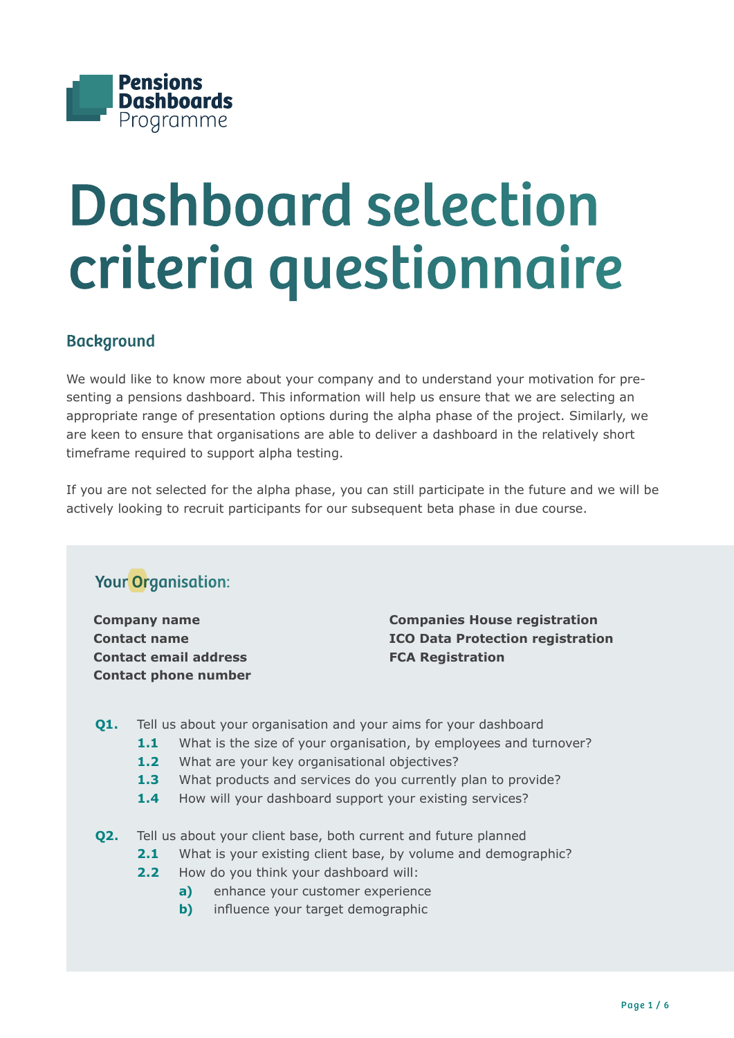

# Dashboard selection criteria questionnaire

## **Background**

We would like to know more about your company and to understand your motivation for presenting a pensions dashboard. This information will help us ensure that we are selecting an appropriate range of presentation options during the alpha phase of the project. Similarly, we are keen to ensure that organisations are able to deliver a dashboard in the relatively short timeframe required to support alpha testing.

If you are not selected for the alpha phase, you can still participate in the future and we will be actively looking to recruit participants for our subsequent beta phase in due course.

## Your Organisation:

**Company name Contact name Contact email address Contact phone number**

**Companies House registration ICO Data Protection registration FCA Registration**

- **Q1.** Tell us about your organisation and your aims for your dashboard
	- 1.1 What is the size of your organisation, by employees and turnover?
	- 1.2 What are your key organisational objectives?
	- 1.3 What products and services do you currently plan to provide?
	- 1.4 How will your dashboard support your existing services?
- **Q2.** Tell us about your client base, both current and future planned
	- **2.1** What is your existing client base, by volume and demographic?
	- **2.2** How do you think your dashboard will:
		- **a)** enhance your customer experience
		- **b)** influence your target demographic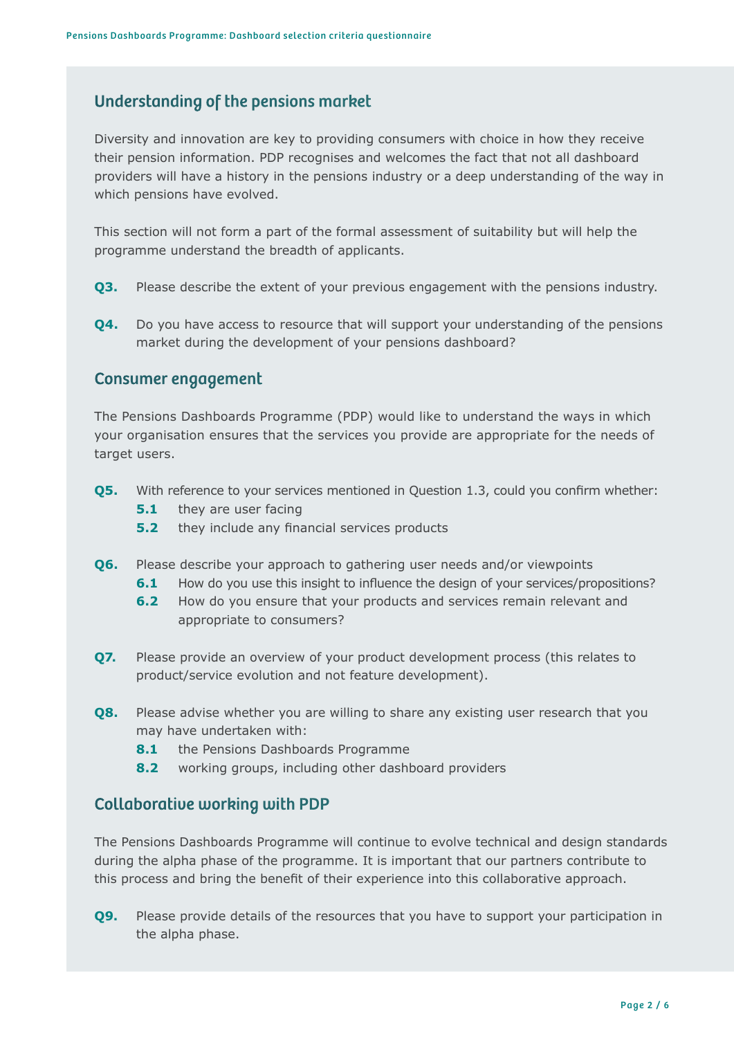### Understanding of the pensions market

Diversity and innovation are key to providing consumers with choice in how they receive their pension information. PDP recognises and welcomes the fact that not all dashboard providers will have a history in the pensions industry or a deep understanding of the way in which pensions have evolved.

This section will not form a part of the formal assessment of suitability but will help the programme understand the breadth of applicants.

- **Q3.** Please describe the extent of your previous engagement with the pensions industry.
- **Q4.** Do you have access to resource that will support your understanding of the pensions market during the development of your pensions dashboard?

#### Consumer engagement

The Pensions Dashboards Programme (PDP) would like to understand the ways in which your organisation ensures that the services you provide are appropriate for the needs of target users.

- **Q5.** With reference to your services mentioned in Question 1.3, could you confirm whether:
	- **5.1** they are user facing
	- **5.2** they include any financial services products
- **Q6.** Please describe your approach to gathering user needs and/or viewpoints
	- **6.1** How do you use this insight to influence the design of your services/propositions?
	- **6.2** How do you ensure that your products and services remain relevant and appropriate to consumers?
- **Q7.** Please provide an overview of your product development process (this relates to product/service evolution and not feature development).
- **Q8.** Please advise whether you are willing to share any existing user research that you may have undertaken with:
	- 8.1 the Pensions Dashboards Programme
	- **8.2** working groups, including other dashboard providers

#### Collaborative working with PDP

The Pensions Dashboards Programme will continue to evolve technical and design standards during the alpha phase of the programme. It is important that our partners contribute to this process and bring the benefit of their experience into this collaborative approach.

**Q9.** Please provide details of the resources that you have to support your participation in the alpha phase.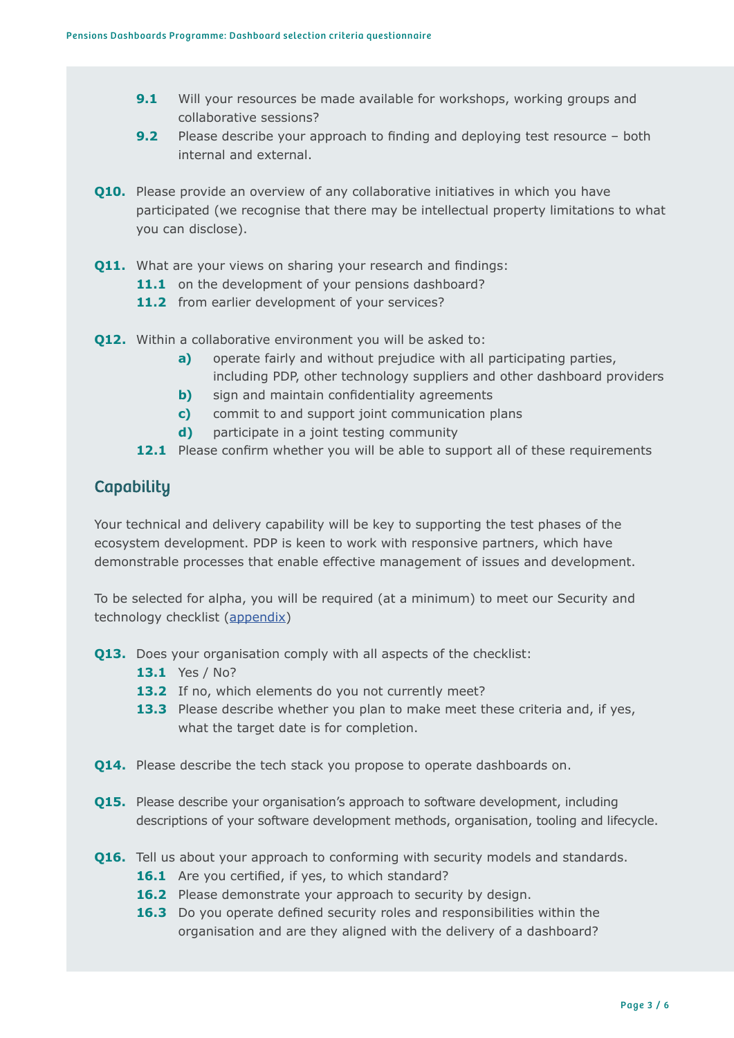- **9.1** Will your resources be made available for workshops, working groups and collaborative sessions?
- **9.2** Please describe your approach to finding and deploying test resource both internal and external.
- **Q10.** Please provide an overview of any collaborative initiatives in which you have participated (we recognise that there may be intellectual property limitations to what you can disclose).
- **Q11.** What are your views on sharing your research and findings:
	- 11.1 on the development of your pensions dashboard?
	- 11.2 from earlier development of your services?
- **Q12.** Within a collaborative environment you will be asked to:
	- **a)** operate fairly and without prejudice with all participating parties, including PDP, other technology suppliers and other dashboard providers
	- **b)** sign and maintain confidentiality agreements
	- **c)** commit to and support joint communication plans
	- **d)** participate in a joint testing community
	- **12.1** Please confirm whether you will be able to support all of these requirements

#### **Capability**

Your technical and delivery capability will be key to supporting the test phases of the ecosystem development. PDP is keen to work with responsive partners, which have demonstrable processes that enable effective management of issues and development.

To be selected for alpha, you will be required (at a minimum) to meet our Security and technology checklist [\(appendix\)](#page-5-0)

- **Q13.** Does your organisation comply with all aspects of the checklist:
	- **13.1** Yes / No?
	- **13.2** If no, which elements do you not currently meet?
	- **13.3** Please describe whether you plan to make meet these criteria and, if yes, what the target date is for completion.
- **Q14.** Please describe the tech stack you propose to operate dashboards on.
- **Q15.** Please describe your organisation's approach to software development, including descriptions of your software development methods, organisation, tooling and lifecycle.
- **Q16.** Tell us about your approach to conforming with security models and standards.
	- 16.1 Are you certified, if yes, to which standard?
	- 16.2 Please demonstrate your approach to security by design.
	- **16.3** Do you operate defined security roles and responsibilities within the organisation and are they aligned with the delivery of a dashboard?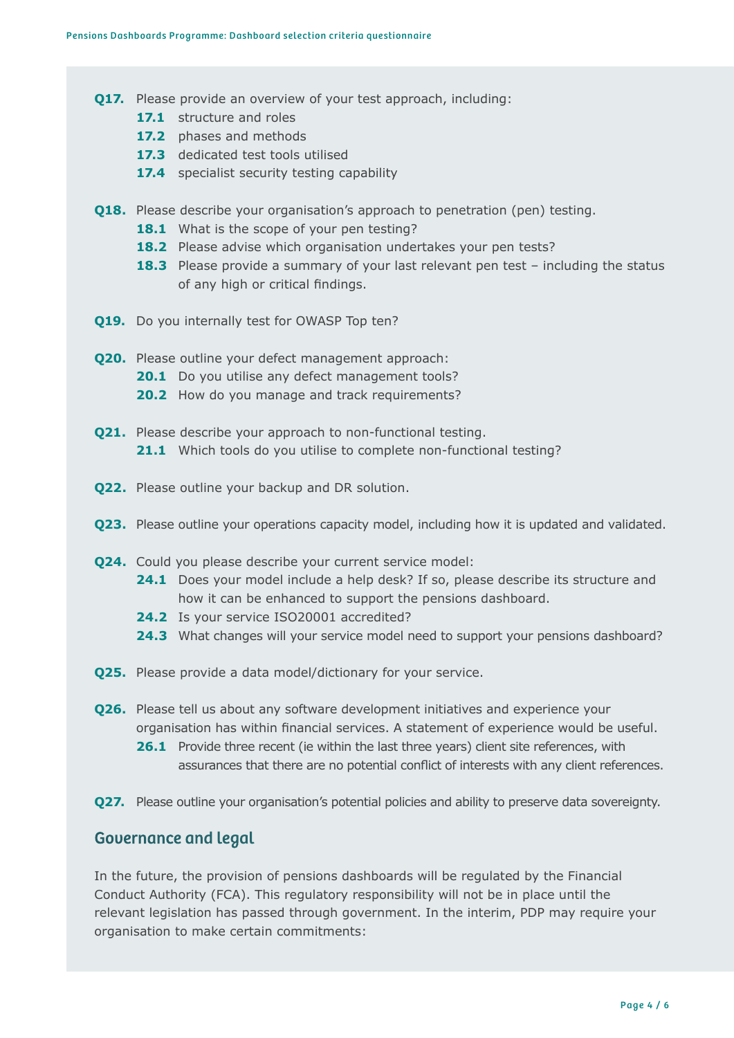- **Q17.** Please provide an overview of your test approach, including:
	- 17.1 structure and roles
	- **17.2** phases and methods
	- 17.3 dedicated test tools utilised
	- **17.4** specialist security testing capability
- **Q18.** Please describe your organisation's approach to penetration (pen) testing.
	- 18.1 What is the scope of your pen testing?
	- 18.2 Please advise which organisation undertakes your pen tests?
	- **18.3** Please provide a summary of your last relevant pen test including the status of any high or critical findings.
- **Q19.** Do you internally test for OWASP Top ten?
- **Q20.** Please outline your defect management approach: **20.1** Do you utilise any defect management tools? 20.2 How do you manage and track requirements?
- **Q21.** Please describe your approach to non-functional testing. 21.1 Which tools do you utilise to complete non-functional testing?
- **Q22.** Please outline your backup and DR solution.
- **Q23.** Please outline your operations capacity model, including how it is updated and validated.
- **Q24.** Could you please describe your current service model:
	- **24.1** Does your model include a help desk? If so, please describe its structure and how it can be enhanced to support the pensions dashboard.
	- 24.2 Is your service ISO20001 accredited?
	- **24.3** What changes will your service model need to support your pensions dashboard?
- **Q25.** Please provide a data model/dictionary for your service.
- **Q26.** Please tell us about any software development initiatives and experience your organisation has within financial services. A statement of experience would be useful.
	- **26.1** Provide three recent (ie within the last three years) client site references, with assurances that there are no potential conflict of interests with any client references.
- **Q27.** Please outline your organisation's potential policies and ability to preserve data sovereignty.

#### Governance and legal

In the future, the provision of pensions dashboards will be regulated by the Financial Conduct Authority (FCA). This regulatory responsibility will not be in place until the relevant legislation has passed through government. In the interim, PDP may require your organisation to make certain commitments: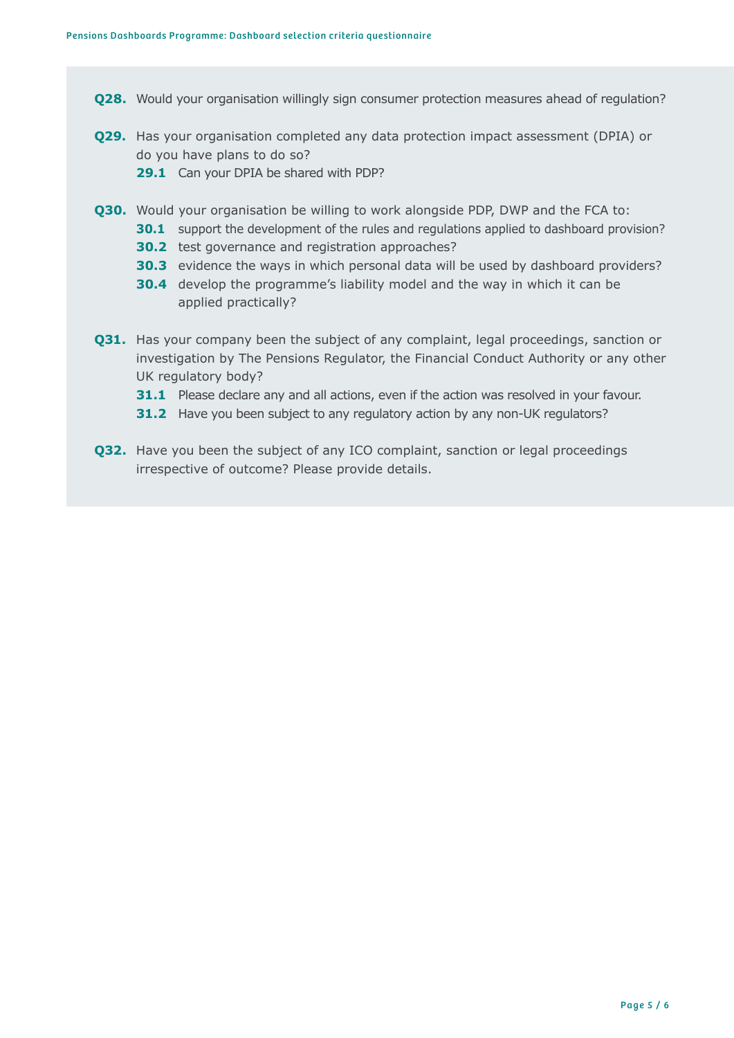- **Q28.** Would your organisation willingly sign consumer protection measures ahead of regulation?
- **Q29.** Has your organisation completed any data protection impact assessment (DPIA) or do you have plans to do so?
	- **29.1** Can your DPIA be shared with PDP?
- **Q30.** Would your organisation be willing to work alongside PDP, DWP and the FCA to:
	- **30.1** support the development of the rules and regulations applied to dashboard provision?
	- **30.2** test governance and registration approaches?
	- **30.3** evidence the ways in which personal data will be used by dashboard providers?
	- **30.4** develop the programme's liability model and the way in which it can be applied practically?
- **Q31.** Has your company been the subject of any complaint, legal proceedings, sanction or investigation by The Pensions Regulator, the Financial Conduct Authority or any other UK regulatory body?
	- **31.1** Please declare any and all actions, even if the action was resolved in your favour.
	- **31.2** Have you been subject to any regulatory action by any non-UK regulators?
- **Q32.** Have you been the subject of any ICO complaint, sanction or legal proceedings irrespective of outcome? Please provide details.